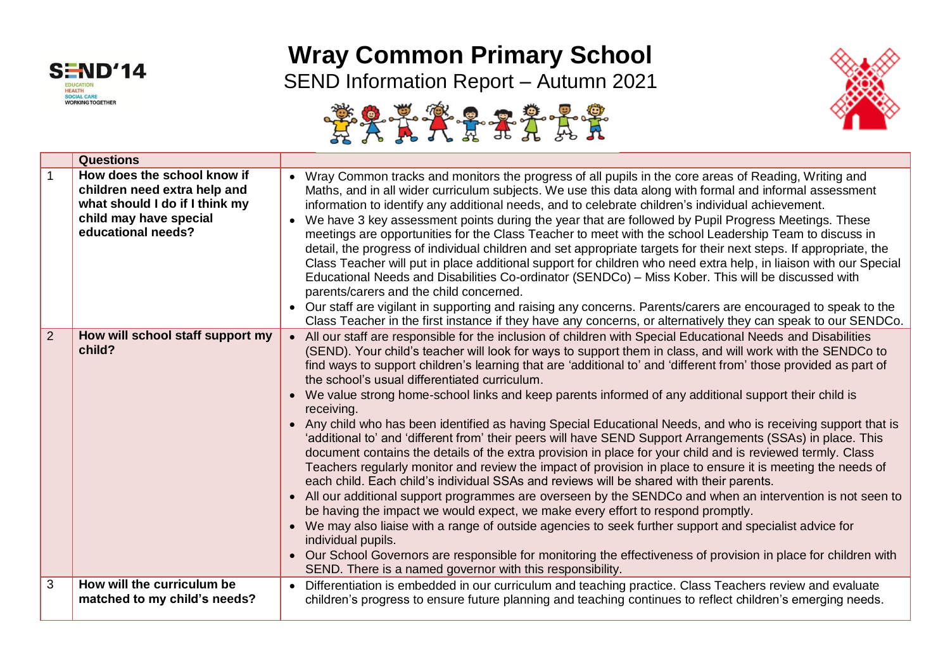

## **Wray Common Primary School**

SEND Information Report – Autumn 2021





|                | <b>Questions</b>                                                                                                                              |                                                                                                                                                                                                                                                                                                                                                                                                                                                                                                                                                                                                                                                                                                                                                                                                                                                                                                                                                                                                                                                                                                                                                                                                                                                                                                                                                                                                                                                                                                                                                                                       |
|----------------|-----------------------------------------------------------------------------------------------------------------------------------------------|---------------------------------------------------------------------------------------------------------------------------------------------------------------------------------------------------------------------------------------------------------------------------------------------------------------------------------------------------------------------------------------------------------------------------------------------------------------------------------------------------------------------------------------------------------------------------------------------------------------------------------------------------------------------------------------------------------------------------------------------------------------------------------------------------------------------------------------------------------------------------------------------------------------------------------------------------------------------------------------------------------------------------------------------------------------------------------------------------------------------------------------------------------------------------------------------------------------------------------------------------------------------------------------------------------------------------------------------------------------------------------------------------------------------------------------------------------------------------------------------------------------------------------------------------------------------------------------|
| $\mathbf{1}$   | How does the school know if<br>children need extra help and<br>what should I do if I think my<br>child may have special<br>educational needs? | • Wray Common tracks and monitors the progress of all pupils in the core areas of Reading, Writing and<br>Maths, and in all wider curriculum subjects. We use this data along with formal and informal assessment<br>information to identify any additional needs, and to celebrate children's individual achievement.<br>We have 3 key assessment points during the year that are followed by Pupil Progress Meetings. These<br>meetings are opportunities for the Class Teacher to meet with the school Leadership Team to discuss in<br>detail, the progress of individual children and set appropriate targets for their next steps. If appropriate, the<br>Class Teacher will put in place additional support for children who need extra help, in liaison with our Special<br>Educational Needs and Disabilities Co-ordinator (SENDCo) - Miss Kober. This will be discussed with<br>parents/carers and the child concerned.<br>• Our staff are vigilant in supporting and raising any concerns. Parents/carers are encouraged to speak to the<br>Class Teacher in the first instance if they have any concerns, or alternatively they can speak to our SENDCo.                                                                                                                                                                                                                                                                                                                                                                                                                  |
| $\overline{2}$ | How will school staff support my<br>child?                                                                                                    | All our staff are responsible for the inclusion of children with Special Educational Needs and Disabilities<br>(SEND). Your child's teacher will look for ways to support them in class, and will work with the SENDCo to<br>find ways to support children's learning that are 'additional to' and 'different from' those provided as part of<br>the school's usual differentiated curriculum.<br>We value strong home-school links and keep parents informed of any additional support their child is<br>receiving.<br>Any child who has been identified as having Special Educational Needs, and who is receiving support that is<br>'additional to' and 'different from' their peers will have SEND Support Arrangements (SSAs) in place. This<br>document contains the details of the extra provision in place for your child and is reviewed termly. Class<br>Teachers regularly monitor and review the impact of provision in place to ensure it is meeting the needs of<br>each child. Each child's individual SSAs and reviews will be shared with their parents.<br>All our additional support programmes are overseen by the SENDCo and when an intervention is not seen to<br>be having the impact we would expect, we make every effort to respond promptly.<br>We may also liaise with a range of outside agencies to seek further support and specialist advice for<br>individual pupils.<br>Our School Governors are responsible for monitoring the effectiveness of provision in place for children with<br>SEND. There is a named governor with this responsibility. |
| 3              | How will the curriculum be<br>matched to my child's needs?                                                                                    | Differentiation is embedded in our curriculum and teaching practice. Class Teachers review and evaluate<br>children's progress to ensure future planning and teaching continues to reflect children's emerging needs.                                                                                                                                                                                                                                                                                                                                                                                                                                                                                                                                                                                                                                                                                                                                                                                                                                                                                                                                                                                                                                                                                                                                                                                                                                                                                                                                                                 |
|                |                                                                                                                                               |                                                                                                                                                                                                                                                                                                                                                                                                                                                                                                                                                                                                                                                                                                                                                                                                                                                                                                                                                                                                                                                                                                                                                                                                                                                                                                                                                                                                                                                                                                                                                                                       |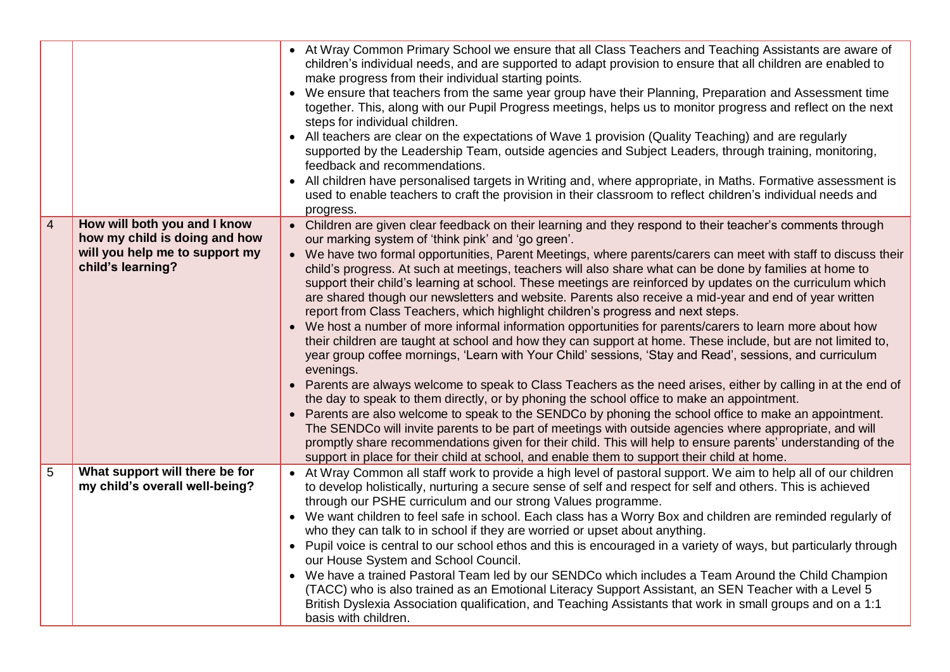|                |                                                                                                                      | • At Wray Common Primary School we ensure that all Class Teachers and Teaching Assistants are aware of<br>children's individual needs, and are supported to adapt provision to ensure that all children are enabled to<br>make progress from their individual starting points.<br>We ensure that teachers from the same year group have their Planning, Preparation and Assessment time<br>together. This, along with our Pupil Progress meetings, helps us to monitor progress and reflect on the next<br>steps for individual children.<br>All teachers are clear on the expectations of Wave 1 provision (Quality Teaching) and are regularly<br>supported by the Leadership Team, outside agencies and Subject Leaders, through training, monitoring,<br>feedback and recommendations.<br>All children have personalised targets in Writing and, where appropriate, in Maths. Formative assessment is<br>used to enable teachers to craft the provision in their classroom to reflect children's individual needs and<br>progress.                                                                                                                                                                                                                                                                                                                                                                                                                                                                                                                                                                                                                                                                       |
|----------------|----------------------------------------------------------------------------------------------------------------------|--------------------------------------------------------------------------------------------------------------------------------------------------------------------------------------------------------------------------------------------------------------------------------------------------------------------------------------------------------------------------------------------------------------------------------------------------------------------------------------------------------------------------------------------------------------------------------------------------------------------------------------------------------------------------------------------------------------------------------------------------------------------------------------------------------------------------------------------------------------------------------------------------------------------------------------------------------------------------------------------------------------------------------------------------------------------------------------------------------------------------------------------------------------------------------------------------------------------------------------------------------------------------------------------------------------------------------------------------------------------------------------------------------------------------------------------------------------------------------------------------------------------------------------------------------------------------------------------------------------------------------------------------------------------------------------------------------------|
| $\overline{4}$ | How will both you and I know<br>how my child is doing and how<br>will you help me to support my<br>child's learning? | • Children are given clear feedback on their learning and they respond to their teacher's comments through<br>our marking system of 'think pink' and 'go green'.<br>• We have two formal opportunities, Parent Meetings, where parents/carers can meet with staff to discuss their<br>child's progress. At such at meetings, teachers will also share what can be done by families at home to<br>support their child's learning at school. These meetings are reinforced by updates on the curriculum which<br>are shared though our newsletters and website. Parents also receive a mid-year and end of year written<br>report from Class Teachers, which highlight children's progress and next steps.<br>• We host a number of more informal information opportunities for parents/carers to learn more about how<br>their children are taught at school and how they can support at home. These include, but are not limited to,<br>year group coffee mornings, 'Learn with Your Child' sessions, 'Stay and Read', sessions, and curriculum<br>evenings.<br>Parents are always welcome to speak to Class Teachers as the need arises, either by calling in at the end of<br>the day to speak to them directly, or by phoning the school office to make an appointment.<br>Parents are also welcome to speak to the SENDCo by phoning the school office to make an appointment.<br>The SENDCo will invite parents to be part of meetings with outside agencies where appropriate, and will<br>promptly share recommendations given for their child. This will help to ensure parents' understanding of the<br>support in place for their child at school, and enable them to support their child at home. |
| 5              | What support will there be for<br>my child's overall well-being?                                                     | At Wray Common all staff work to provide a high level of pastoral support. We aim to help all of our children<br>to develop holistically, nurturing a secure sense of self and respect for self and others. This is achieved<br>through our PSHE curriculum and our strong Values programme.<br>We want children to feel safe in school. Each class has a Worry Box and children are reminded regularly of<br>who they can talk to in school if they are worried or upset about anything.<br>Pupil voice is central to our school ethos and this is encouraged in a variety of ways, but particularly through<br>$\bullet$<br>our House System and School Council.<br>We have a trained Pastoral Team led by our SENDCo which includes a Team Around the Child Champion<br>(TACC) who is also trained as an Emotional Literacy Support Assistant, an SEN Teacher with a Level 5<br>British Dyslexia Association qualification, and Teaching Assistants that work in small groups and on a 1:1<br>basis with children.                                                                                                                                                                                                                                                                                                                                                                                                                                                                                                                                                                                                                                                                                        |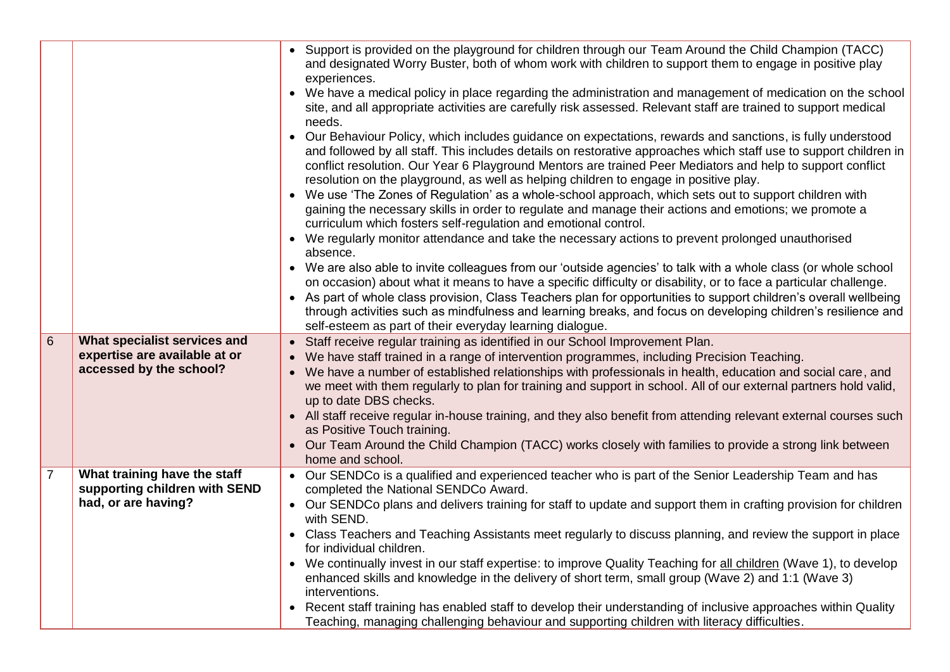|                |                                                               | Support is provided on the playground for children through our Team Around the Child Champion (TACC)<br>and designated Worry Buster, both of whom work with children to support them to engage in positive play<br>experiences.<br>• We have a medical policy in place regarding the administration and management of medication on the school<br>site, and all appropriate activities are carefully risk assessed. Relevant staff are trained to support medical<br>needs.<br>Our Behaviour Policy, which includes guidance on expectations, rewards and sanctions, is fully understood<br>and followed by all staff. This includes details on restorative approaches which staff use to support children in<br>conflict resolution. Our Year 6 Playground Mentors are trained Peer Mediators and help to support conflict<br>resolution on the playground, as well as helping children to engage in positive play.<br>We use 'The Zones of Regulation' as a whole-school approach, which sets out to support children with<br>gaining the necessary skills in order to regulate and manage their actions and emotions; we promote a<br>curriculum which fosters self-regulation and emotional control.<br>We regularly monitor attendance and take the necessary actions to prevent prolonged unauthorised<br>absence.<br>We are also able to invite colleagues from our 'outside agencies' to talk with a whole class (or whole school<br>on occasion) about what it means to have a specific difficulty or disability, or to face a particular challenge.<br>• As part of whole class provision, Class Teachers plan for opportunities to support children's overall wellbeing<br>through activities such as mindfulness and learning breaks, and focus on developing children's resilience and<br>self-esteem as part of their everyday learning dialogue. |
|----------------|---------------------------------------------------------------|-----------------------------------------------------------------------------------------------------------------------------------------------------------------------------------------------------------------------------------------------------------------------------------------------------------------------------------------------------------------------------------------------------------------------------------------------------------------------------------------------------------------------------------------------------------------------------------------------------------------------------------------------------------------------------------------------------------------------------------------------------------------------------------------------------------------------------------------------------------------------------------------------------------------------------------------------------------------------------------------------------------------------------------------------------------------------------------------------------------------------------------------------------------------------------------------------------------------------------------------------------------------------------------------------------------------------------------------------------------------------------------------------------------------------------------------------------------------------------------------------------------------------------------------------------------------------------------------------------------------------------------------------------------------------------------------------------------------------------------------------------------------------------------------------------------------------------------------------------------------|
| 6              | What specialist services and<br>expertise are available at or | • Staff receive regular training as identified in our School Improvement Plan.<br>We have staff trained in a range of intervention programmes, including Precision Teaching.<br>$\bullet$                                                                                                                                                                                                                                                                                                                                                                                                                                                                                                                                                                                                                                                                                                                                                                                                                                                                                                                                                                                                                                                                                                                                                                                                                                                                                                                                                                                                                                                                                                                                                                                                                                                                       |
|                | accessed by the school?                                       | We have a number of established relationships with professionals in health, education and social care, and<br>we meet with them regularly to plan for training and support in school. All of our external partners hold valid,<br>up to date DBS checks.                                                                                                                                                                                                                                                                                                                                                                                                                                                                                                                                                                                                                                                                                                                                                                                                                                                                                                                                                                                                                                                                                                                                                                                                                                                                                                                                                                                                                                                                                                                                                                                                        |
|                |                                                               | • All staff receive regular in-house training, and they also benefit from attending relevant external courses such<br>as Positive Touch training.                                                                                                                                                                                                                                                                                                                                                                                                                                                                                                                                                                                                                                                                                                                                                                                                                                                                                                                                                                                                                                                                                                                                                                                                                                                                                                                                                                                                                                                                                                                                                                                                                                                                                                               |
|                |                                                               | • Our Team Around the Child Champion (TACC) works closely with families to provide a strong link between<br>home and school.                                                                                                                                                                                                                                                                                                                                                                                                                                                                                                                                                                                                                                                                                                                                                                                                                                                                                                                                                                                                                                                                                                                                                                                                                                                                                                                                                                                                                                                                                                                                                                                                                                                                                                                                    |
| $\overline{7}$ | What training have the staff<br>supporting children with SEND | • Our SENDCo is a qualified and experienced teacher who is part of the Senior Leadership Team and has<br>completed the National SENDCo Award.                                                                                                                                                                                                                                                                                                                                                                                                                                                                                                                                                                                                                                                                                                                                                                                                                                                                                                                                                                                                                                                                                                                                                                                                                                                                                                                                                                                                                                                                                                                                                                                                                                                                                                                   |
|                | had, or are having?                                           | Our SENDCo plans and delivers training for staff to update and support them in crafting provision for children<br>with SEND.                                                                                                                                                                                                                                                                                                                                                                                                                                                                                                                                                                                                                                                                                                                                                                                                                                                                                                                                                                                                                                                                                                                                                                                                                                                                                                                                                                                                                                                                                                                                                                                                                                                                                                                                    |
|                |                                                               | Class Teachers and Teaching Assistants meet regularly to discuss planning, and review the support in place<br>for individual children.                                                                                                                                                                                                                                                                                                                                                                                                                                                                                                                                                                                                                                                                                                                                                                                                                                                                                                                                                                                                                                                                                                                                                                                                                                                                                                                                                                                                                                                                                                                                                                                                                                                                                                                          |
|                |                                                               | • We continually invest in our staff expertise: to improve Quality Teaching for all children (Wave 1), to develop<br>enhanced skills and knowledge in the delivery of short term, small group (Wave 2) and 1:1 (Wave 3)<br>interventions.                                                                                                                                                                                                                                                                                                                                                                                                                                                                                                                                                                                                                                                                                                                                                                                                                                                                                                                                                                                                                                                                                                                                                                                                                                                                                                                                                                                                                                                                                                                                                                                                                       |
|                |                                                               | Recent staff training has enabled staff to develop their understanding of inclusive approaches within Quality<br>Teaching, managing challenging behaviour and supporting children with literacy difficulties.                                                                                                                                                                                                                                                                                                                                                                                                                                                                                                                                                                                                                                                                                                                                                                                                                                                                                                                                                                                                                                                                                                                                                                                                                                                                                                                                                                                                                                                                                                                                                                                                                                                   |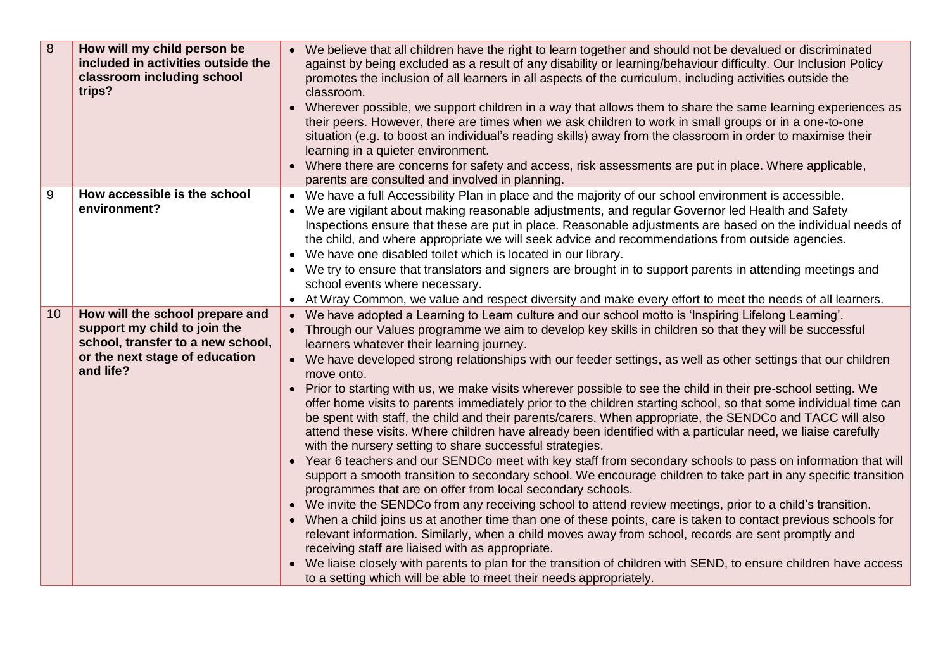| 8  | How will my child person be<br>included in activities outside the<br>classroom including school<br>trips?                                           | We believe that all children have the right to learn together and should not be devalued or discriminated<br>against by being excluded as a result of any disability or learning/behaviour difficulty. Our Inclusion Policy<br>promotes the inclusion of all learners in all aspects of the curriculum, including activities outside the<br>classroom.<br>Wherever possible, we support children in a way that allows them to share the same learning experiences as<br>their peers. However, there are times when we ask children to work in small groups or in a one-to-one<br>situation (e.g. to boost an individual's reading skills) away from the classroom in order to maximise their<br>learning in a quieter environment.<br>Where there are concerns for safety and access, risk assessments are put in place. Where applicable,<br>parents are consulted and involved in planning.                                                                                                                                                                                                                                                                                                                                                                                                                                                                                                                                                                                                                                                                                                                                                                                                                                                                                                       |
|----|-----------------------------------------------------------------------------------------------------------------------------------------------------|-----------------------------------------------------------------------------------------------------------------------------------------------------------------------------------------------------------------------------------------------------------------------------------------------------------------------------------------------------------------------------------------------------------------------------------------------------------------------------------------------------------------------------------------------------------------------------------------------------------------------------------------------------------------------------------------------------------------------------------------------------------------------------------------------------------------------------------------------------------------------------------------------------------------------------------------------------------------------------------------------------------------------------------------------------------------------------------------------------------------------------------------------------------------------------------------------------------------------------------------------------------------------------------------------------------------------------------------------------------------------------------------------------------------------------------------------------------------------------------------------------------------------------------------------------------------------------------------------------------------------------------------------------------------------------------------------------------------------------------------------------------------------------------------------------|
| 9  | How accessible is the school<br>environment?                                                                                                        | We have a full Accessibility Plan in place and the majority of our school environment is accessible.<br>We are vigilant about making reasonable adjustments, and regular Governor led Health and Safety<br>Inspections ensure that these are put in place. Reasonable adjustments are based on the individual needs of<br>the child, and where appropriate we will seek advice and recommendations from outside agencies.<br>We have one disabled toilet which is located in our library.<br>• We try to ensure that translators and signers are brought in to support parents in attending meetings and<br>school events where necessary.<br>• At Wray Common, we value and respect diversity and make every effort to meet the needs of all learners.                                                                                                                                                                                                                                                                                                                                                                                                                                                                                                                                                                                                                                                                                                                                                                                                                                                                                                                                                                                                                                             |
| 10 | How will the school prepare and<br>support my child to join the<br>school, transfer to a new school,<br>or the next stage of education<br>and life? | We have adopted a Learning to Learn culture and our school motto is 'Inspiring Lifelong Learning'.<br>Through our Values programme we aim to develop key skills in children so that they will be successful<br>learners whatever their learning journey.<br>• We have developed strong relationships with our feeder settings, as well as other settings that our children<br>move onto.<br>Prior to starting with us, we make visits wherever possible to see the child in their pre-school setting. We<br>offer home visits to parents immediately prior to the children starting school, so that some individual time can<br>be spent with staff, the child and their parents/carers. When appropriate, the SENDCo and TACC will also<br>attend these visits. Where children have already been identified with a particular need, we liaise carefully<br>with the nursery setting to share successful strategies.<br>Year 6 teachers and our SENDCo meet with key staff from secondary schools to pass on information that will<br>support a smooth transition to secondary school. We encourage children to take part in any specific transition<br>programmes that are on offer from local secondary schools.<br>We invite the SENDCo from any receiving school to attend review meetings, prior to a child's transition.<br>When a child joins us at another time than one of these points, care is taken to contact previous schools for<br>relevant information. Similarly, when a child moves away from school, records are sent promptly and<br>receiving staff are liaised with as appropriate.<br>We liaise closely with parents to plan for the transition of children with SEND, to ensure children have access<br>to a setting which will be able to meet their needs appropriately. |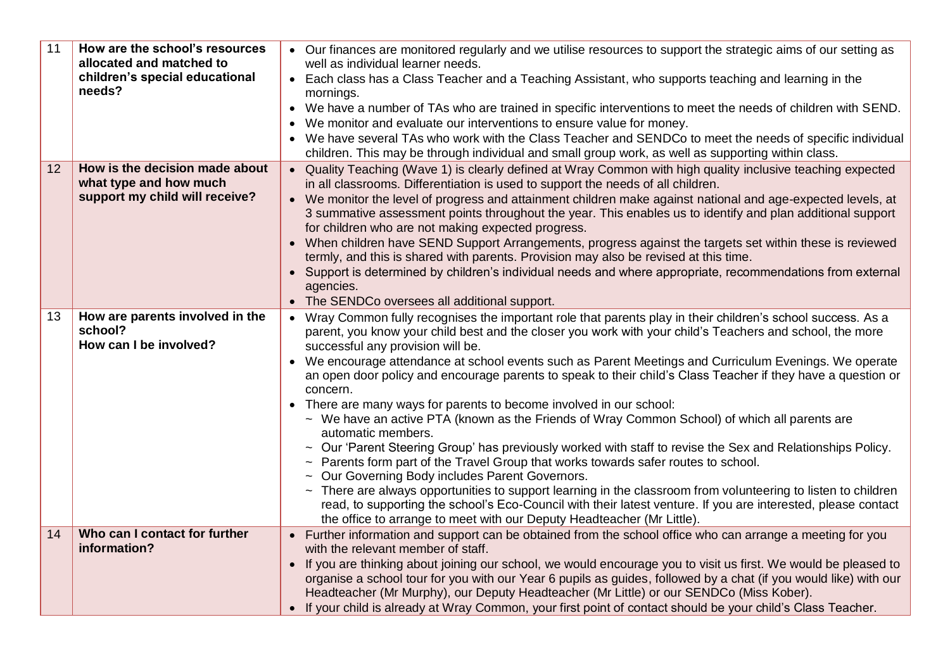| 11 | How are the school's resources<br>allocated and matched to           | • Our finances are monitored regularly and we utilise resources to support the strategic aims of our setting as<br>well as individual learner needs.                                                                                                                                                                                       |
|----|----------------------------------------------------------------------|--------------------------------------------------------------------------------------------------------------------------------------------------------------------------------------------------------------------------------------------------------------------------------------------------------------------------------------------|
|    | children's special educational<br>needs?                             | Each class has a Class Teacher and a Teaching Assistant, who supports teaching and learning in the<br>mornings.                                                                                                                                                                                                                            |
|    |                                                                      | We have a number of TAs who are trained in specific interventions to meet the needs of children with SEND.                                                                                                                                                                                                                                 |
|    |                                                                      | We monitor and evaluate our interventions to ensure value for money.                                                                                                                                                                                                                                                                       |
|    |                                                                      | We have several TAs who work with the Class Teacher and SENDCo to meet the needs of specific individual<br>children. This may be through individual and small group work, as well as supporting within class.                                                                                                                              |
| 12 | How is the decision made about                                       | • Quality Teaching (Wave 1) is clearly defined at Wray Common with high quality inclusive teaching expected                                                                                                                                                                                                                                |
|    | what type and how much                                               | in all classrooms. Differentiation is used to support the needs of all children.                                                                                                                                                                                                                                                           |
|    | support my child will receive?                                       | • We monitor the level of progress and attainment children make against national and age-expected levels, at<br>3 summative assessment points throughout the year. This enables us to identify and plan additional support<br>for children who are not making expected progress.                                                           |
|    |                                                                      | • When children have SEND Support Arrangements, progress against the targets set within these is reviewed                                                                                                                                                                                                                                  |
|    |                                                                      | termly, and this is shared with parents. Provision may also be revised at this time.                                                                                                                                                                                                                                                       |
|    |                                                                      | Support is determined by children's individual needs and where appropriate, recommendations from external<br>agencies.                                                                                                                                                                                                                     |
|    |                                                                      | The SENDCo oversees all additional support.                                                                                                                                                                                                                                                                                                |
| 13 | How are parents involved in the<br>school?<br>How can I be involved? | Wray Common fully recognises the important role that parents play in their children's school success. As a<br>parent, you know your child best and the closer you work with your child's Teachers and school, the more<br>successful any provision will be.                                                                                |
|    |                                                                      | We encourage attendance at school events such as Parent Meetings and Curriculum Evenings. We operate<br>an open door policy and encourage parents to speak to their child's Class Teacher if they have a question or<br>concern.                                                                                                           |
|    |                                                                      | • There are many ways for parents to become involved in our school:                                                                                                                                                                                                                                                                        |
|    |                                                                      | ~ We have an active PTA (known as the Friends of Wray Common School) of which all parents are<br>automatic members.                                                                                                                                                                                                                        |
|    |                                                                      | ~ Our 'Parent Steering Group' has previously worked with staff to revise the Sex and Relationships Policy.<br>~ Parents form part of the Travel Group that works towards safer routes to school.<br>~ Our Governing Body includes Parent Governors.                                                                                        |
|    |                                                                      | ~ There are always opportunities to support learning in the classroom from volunteering to listen to children<br>read, to supporting the school's Eco-Council with their latest venture. If you are interested, please contact<br>the office to arrange to meet with our Deputy Headteacher (Mr Little).                                   |
| 14 | Who can I contact for further<br>information?                        | • Further information and support can be obtained from the school office who can arrange a meeting for you<br>with the relevant member of staff.                                                                                                                                                                                           |
|    |                                                                      | If you are thinking about joining our school, we would encourage you to visit us first. We would be pleased to<br>$\bullet$<br>organise a school tour for you with our Year 6 pupils as guides, followed by a chat (if you would like) with our<br>Headteacher (Mr Murphy), our Deputy Headteacher (Mr Little) or our SENDCo (Miss Kober). |
|    |                                                                      | If your child is already at Wray Common, your first point of contact should be your child's Class Teacher.<br>$\bullet$                                                                                                                                                                                                                    |